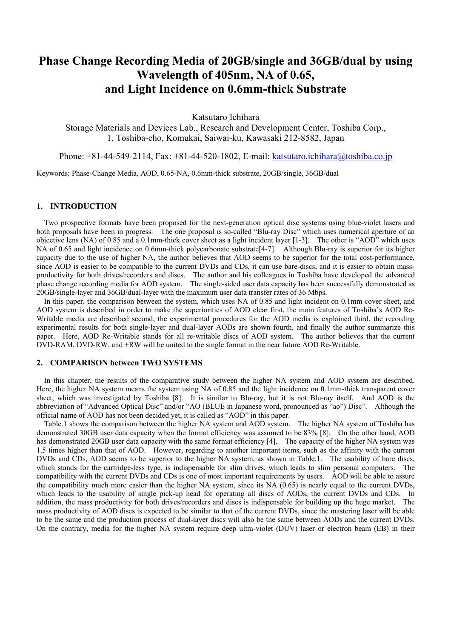# **Phase Change Recording Media of 20GB/single and 36GB/dual by using Wavelength of 405nm, NA of 0.65, and Light Incidence on 0.6mm-thick Substrate**

Katsutaro Ichihara

Storage Materials and Devices Lab., Research and Development Center, Toshiba Corp., 1, Toshiba-cho, Komukai, Saiwai-ku, Kawasaki 212-8582, Japan

Phone: +81-44-549-2114, Fax: +81-44-520-1802, E-mail: [katsutaro.ichihara@toshiba.co.jp](mailto:katsutaro.ichihara@toshiba.co.jp)

Keywords; Phase-Change Media, AOD, 0.65-NA, 0.6mm-thick substrate, 20GB/single, 36GB/dual

#### **1. INTRODUCTION**

 Two prospective formats have been proposed for the next-generation optical disc systems using blue-violet lasers and both proposals have been in progress. The one proposal is so-called "Blu-ray Disc" which uses numerical aperture of an objective lens (NA) of 0.85 and a 0.1mm-thick cover sheet as a light incident layer [1-3]. The other is "AOD" which uses NA of 0.65 and light incidence on 0.6mm-thick polycarbonate substrate<sup>[4-7]</sup>. Although Blu-ray is superior for its higher capacity due to the use of higher NA, the author believes that AOD seems to be superior for the total cost-performance, since AOD is easier to be compatible to the current DVDs and CDs, it can use bare-discs, and it is easier to obtain massproductivity for both drives/recorders and discs. The author and his colleagues in Toshiba have developed the advanced phase change recording media for AOD system. The single-sided user data capacity has been successfully demonstrated as 20GB/single-layer and 36GB/dual-layer with the maximum user data transfer rates of 36 Mbps.

 In this paper, the comparison between the system, which uses NA of 0.85 and light incident on 0.1mm cover sheet, and AOD system is described in order to make the superiorities of AOD clear first, the main features of Toshiba's AOD Re-Writable media are described second, the experimental procedures for the AOD media is explained third, the recording experimental results for both single-layer and dual-layer AODs are shown fourth, and finally the author summarize this paper. Here, AOD Re-Writable stands for all re-writable discs of AOD system. The author believes that the current DVD-RAM, DVD-RW, and +RW will be united to the single format in the near future AOD Re-Writable.

# **2. COMPARISON between TWO SYSTEMS**

 In this chapter, the results of the comparative study between the higher NA system and AOD system are described. Here, the higher NA system means the system using NA of 0.85 and the light incidence on 0.1mm-thick transparent cover sheet, which was investigated by Toshiba [8]. It is similar to Blu-ray, but it is not Blu-ray itself. And AOD is the abbreviation of "Advanced Optical Disc" and/or "AO (BLUE in Japanese word, pronounced as "ao") Disc". Although the official name of AOD has not been decided yet, it is called as "AOD" in this paper.

 Table.1 shows the comparison between the higher NA system and AOD system. The higher NA system of Toshiba has demonstrated 30GB user data capacity when the format efficiency was assumed to be 83% [8]. On the other hand, AOD has demonstrated 20GB user data capacity with the same format efficiency [4]. The capacity of the higher NA system was 1.5 times higher than that of AOD. However, regarding to another important items, such as the affinity with the current DVDs and CDs, AOD seems to be superior to the higher NA system, as shown in Table.1. The usability of bare discs, which stands for the cartridge-less type, is indispensable for slim drives, which leads to slim personal computers. The compatibility with the current DVDs and CDs is one of most important requirements by users. AOD will be able to assure the compatibility much more easier than the higher NA system, since its NA (0.65) is nearly equal to the current DVDs, which leads to the usability of single pick-up head for operating all discs of AODs, the current DVDs and CDs. In addition, the mass productivity for both drives/recorders and discs is indispensable for building up the huge market. The mass productivity of AOD discs is expected to be similar to that of the current DVDs, since the mastering laser will be able to be the same and the production process of dual-layer discs will also be the same between AODs and the current DVDs. On the contrary, media for the higher NA system require deep ultra-violet (DUV) laser or electron beam (EB) in their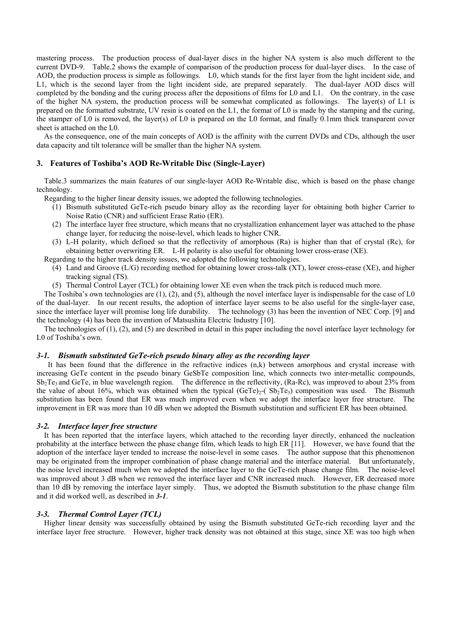mastering process. The production process of dual-layer discs in the higher NA system is also much different to the current DVD-9. Table.2 shows the example of comparison of the production process for dual-layer discs. In the case of AOD, the production process is simple as followings. L0, which stands for the first layer from the light incident side, and L1, which is the second layer from the light incident side, are prepared separately. The dual-layer AOD discs will completed by the bonding and the curing process after the depositions of films for L0 and L1. On the contrary, in the case of the higher NA system, the production process will be somewhat complicated as followings. The layer(s) of L1 is prepared on the formatted substrate, UV resin is coated on the L1, the format of L0 is made by the stamping and the curing, the stamper of L0 is removed, the layer(s) of L0 is prepared on the L0 format, and finally 0.1mm thick transparent cover sheet is attached on the L0.

 As the consequence, one of the main concepts of AOD is the affinity with the current DVDs and CDs, although the user data capacity and tilt tolerance will be smaller than the higher NA system.

## **3. Features of Toshiba's AOD Re-Writable Disc (Single-Layer)**

 Table.3 summarizes the main features of our single-layer AOD Re-Writable disc, which is based on the phase change technology.

Regarding to the higher linear density issues, we adopted the following technologies.

- (1) Bismuth substituted GeTe-rich pseudo binary alloy as the recording layer for obtaining both higher Carrier to Noise Ratio (CNR) and sufficient Erase Ratio (ER).
- (2) The interface layer free structure, which means that no crystallization enhancement layer was attached to the phase change layer, for reducing the noise-level, which leads to higher CNR.
- (3) L-H polarity, which defined so that the reflectivity of amorphous (Ra) is higher than that of crystal (Rc), for obtaining better overwriting ER. L-H polarity is also useful for obtaining lower cross-erase (XE).

Regarding to the higher track density issues, we adopted the following technologies.

- (4) Land and Groove (L/G) recording method for obtaining lower cross-talk (XT), lower cross-erase (XE), and higher tracking signal (TS).
- (5) Thermal Control Layer (TCL) for obtaining lower XE even when the track pitch is reduced much more.

The Toshiba's own technologies are (1), (2), and (5), although the novel interface layer is indispensable for the case of L0 of the dual-layer. In our recent results, the adoption of interface layer seems to be also useful for the single-layer case, since the interface layer will promise long life durability. The technology (3) has been the invention of NEC Corp. [9] and the technology (4) has been the invention of Matsushita Electric Industry [10].

The technologies of (1), (2), and (5) are described in detail in this paper including the novel interface layer technology for L0 of Toshiba's own.

#### *3-1. Bismuth substituted GeTe-rich pseudo binary alloy as the recording layer*

 It has been found that the difference in the refractive indices (n,k) between amorphous and crystal increase with increasing GeTe content in the pseudo binary GeSbTe composition line, which connects two inter-metallic compounds,  $Sb<sub>2</sub>Te<sub>3</sub>$  and GeTe, in blue wavelength region. The difference in the reflectivity, (Ra-Rc), was improved to about 23% from the value of about 16%, which was obtained when the typical  $(GeTe)<sub>2</sub>-C(Sb<sub>2</sub>Te<sub>3</sub>)$  composition was used. The Bismuth substitution has been found that ER was much improved even when we adopt the interface layer free structure. The improvement in ER was more than 10 dB when we adopted the Bismuth substitution and sufficient ER has been obtained.

#### *3-2. Interface layer free structure*

 It has been reported that the interface layers, which attached to the recording layer directly, enhanced the nucleation probability at the interface between the phase change film, which leads to high ER [11]. However, we have found that the adoption of the interface layer tended to increase the noise-level in some cases. The author suppose that this phenomenon may be originated from the improper combination of phase change material and the interface material. But unfortunately, the noise level increased much when we adopted the interface layer to the GeTe-rich phase change film. The noise-level was improved about 3 dB when we removed the interface layer and CNR increased much. However, ER decreased more than 10 dB by removing the interface layer simply. Thus, we adopted the Bismuth substitution to the phase change film and it did worked well, as described in *3-1*.

#### *3-3. Thermal Control Layer (TCL)*

 Higher linear density was successfully obtained by using the Bismuth substituted GeTe-rich recording layer and the interface layer free structure. However, higher track density was not obtained at this stage, since XE was too high when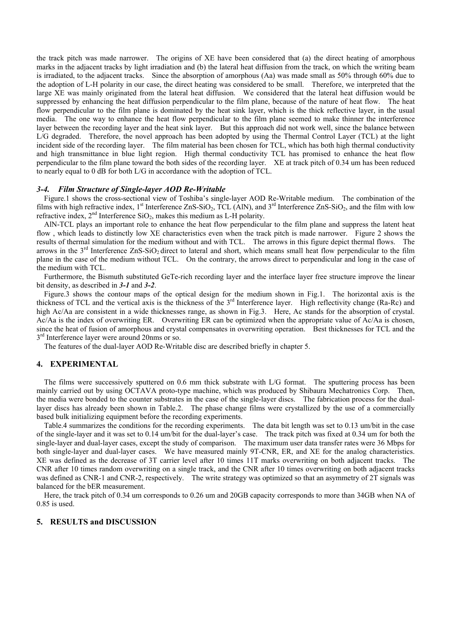the track pitch was made narrower. The origins of XE have been considered that (a) the direct heating of amorphous marks in the adjacent tracks by light irradiation and (b) the lateral heat diffusion from the track, on which the writing beam is irradiated, to the adjacent tracks. Since the absorption of amorphous (Aa) was made small as 50% through 60% due to the adoption of L-H polarity in our case, the direct heating was considered to be small. Therefore, we interpreted that the large XE was mainly originated from the lateral heat diffusion. We considered that the lateral heat diffusion would be suppressed by enhancing the heat diffusion perpendicular to the film plane, because of the nature of heat flow. The heat flow perpendicular to the film plane is dominated by the heat sink layer, which is the thick reflective layer, in the usual media. The one way to enhance the heat flow perpendicular to the film plane seemed to make thinner the interference layer between the recording layer and the heat sink layer. But this approach did not work well, since the balance between L/G degraded. Therefore, the novel approach has been adopted by using the Thermal Control Layer (TCL) at the light incident side of the recording layer. The film material has been chosen for TCL, which has both high thermal conductivity and high transmittance in blue light region. High thermal conductivity TCL has promised to enhance the heat flow perpendicular to the film plane toward the both sides of the recording layer. XE at track pitch of 0.34 um has been reduced to nearly equal to 0 dB for both L/G in accordance with the adoption of TCL.

#### *3-4. Film Structure of Single-layer AOD Re-Writable*

 Figure.1 shows the cross-sectional view of Toshiba's single-layer AOD Re-Writable medium. The combination of the films with high refractive index,  $1<sup>st</sup>$  Interference ZnS-SiO<sub>2</sub>, TCL (AlN), and  $3<sup>rd</sup>$  Interference ZnS-SiO<sub>2</sub>, and the film with low refractive index,  $2<sup>nd</sup>$  Interference SiO<sub>2</sub>, makes this medium as L-H polarity.

 AlN-TCL plays an important role to enhance the heat flow perpendicular to the film plane and suppress the latent heat flow, which leads to distinctly low XE characteristics even when the track pitch is made narrower. Figure 2 shows the results of thermal simulation for the medium without and with TCL. The arrows in this figure depict thermal flows. The arrows in the  $3<sup>rd</sup>$  Interference ZnS-SiO<sub>2</sub> direct to lateral and short, which means small heat flow perpendicular to the film plane in the case of the medium without TCL. On the contrary, the arrows direct to perpendicular and long in the case of the medium with TCL.

Furthermore, the Bismuth substituted GeTe-rich recording layer and the interface layer free structure improve the linear bit density, as described in *3-1* and *3-2*.

 Figure.3 shows the contour maps of the optical design for the medium shown in Fig.1. The horizontal axis is the thickness of TCL and the vertical axis is the thickness of the 3rd Interference layer. High reflectivity change (Ra-Rc) and high Ac/Aa are consistent in a wide thicknesses range, as shown in Fig.3. Here, Ac stands for the absorption of crystal. Ac/Aa is the index of overwriting ER. Overwriting ER can be optimized when the appropriate value of Ac/Aa is chosen, since the heat of fusion of amorphous and crystal compensates in overwriting operation. Best thicknesses for TCL and the 3<sup>rd</sup> Interference layer were around 20nms or so.

The features of the dual-layer AOD Re-Writable disc are described briefly in chapter 5.

#### **4. EXPERIMENTAL**

 The films were successively sputtered on 0.6 mm thick substrate with L/G format. The sputtering process has been mainly carried out by using OCTAVA proto-type machine, which was produced by Shibaura Mechatronics Corp. Then, the media were bonded to the counter substrates in the case of the single-layer discs. The fabrication process for the duallayer discs has already been shown in Table.2. The phase change films were crystallized by the use of a commercially based bulk initializing equipment before the recording experiments.

 Table.4 summarizes the conditions for the recording experiments. The data bit length was set to 0.13 um/bit in the case of the single-layer and it was set to 0.14 um/bit for the dual-layer's case. The track pitch was fixed at 0.34 um for both the single-layer and dual-layer cases, except the study of comparison. The maximum user data transfer rates were 36 Mbps for both single-layer and dual-layer cases. We have measured mainly 9T-CNR, ER, and XE for the analog characteristics. XE was defined as the decrease of 3T carrier level after 10 times 11T marks overwriting on both adjacent tracks. The CNR after 10 times random overwriting on a single track, and the CNR after 10 times overwriting on both adjacent tracks was defined as CNR-1 and CNR-2, respectively. The write strategy was optimized so that an asymmetry of 2T signals was balanced for the bER measurement.

 Here, the track pitch of 0.34 um corresponds to 0.26 um and 20GB capacity corresponds to more than 34GB when NA of 0.85 is used.

#### **5. RESULTS and DISCUSSION**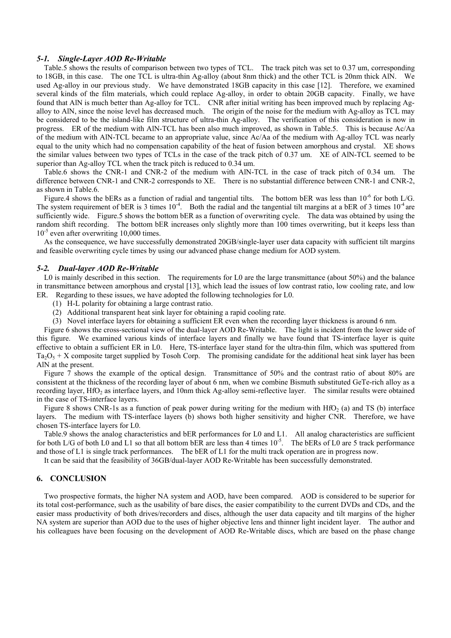#### *5-1. Single-Layer AOD Re-Writable*

 Table.5 shows the results of comparison between two types of TCL. The track pitch was set to 0.37 um, corresponding to 18GB, in this case. The one TCL is ultra-thin Ag-alloy (about 8nm thick) and the other TCL is 20nm thick AlN. We used Ag-alloy in our previous study. We have demonstrated 18GB capacity in this case [12]. Therefore, we examined several kinds of the film materials, which could replace Ag-alloy, in order to obtain 20GB capacity. Finally, we have found that AlN is much better than Ag-alloy for TCL. CNR after initial writing has been improved much by replacing Agalloy to AlN, since the noise level has decreased much. The origin of the noise for the medium with Ag-alloy as TCL may be considered to be the island-like film structure of ultra-thin Ag-alloy. The verification of this consideration is now in progress. ER of the medium with AlN-TCL has been also much improved, as shown in Table.5. This is because Ac/Aa of the medium with AlN-TCL became to an appropriate value, since Ac/Aa of the medium with Ag-alloy TCL was nearly equal to the unity which had no compensation capability of the heat of fusion between amorphous and crystal. XE shows the similar values between two types of TCLs in the case of the track pitch of 0.37 um. XE of AlN-TCL seemed to be superior than Ag-alloy TCL when the track pitch is reduced to 0.34 um.

 Table.6 shows the CNR-1 and CNR-2 of the medium with AlN-TCL in the case of track pitch of 0.34 um. The difference between CNR-1 and CNR-2 corresponds to XE. There is no substantial difference between CNR-1 and CNR-2, as shown in Table.6.

Figure.4 shows the bERs as a function of radial and tangential tilts. The bottom bER was less than 10<sup>-6</sup> for both L/G. The system requirement of bER is 3 times  $10^{-4}$ . Both the radial and the tangential tilt margins at a bER of 3 times  $10^{-4}$  are sufficiently wide. Figure.5 shows the bottom bER as a function of overwriting cycle. The data was obtained by using the random shift recording. The bottom bER increases only slightly more than 100 times overwriting, but it keeps less than  $10^{-5}$  even after overwriting 10,000 times.

As the consequence, we have successfully demonstrated 20GB/single-layer user data capacity with sufficient tilt margins and feasible overwriting cycle times by using our advanced phase change medium for AOD system.

#### *5-2. Dual-layer AOD Re-Writable*

L0 is mainly described in this section. The requirements for L0 are the large transmittance (about 50%) and the balance in transmittance between amorphous and crystal [13], which lead the issues of low contrast ratio, low cooling rate, and low ER. Regarding to these issues, we have adopted the following technologies for L0.

- (1) H-L polarity for obtaining a large contrast ratio.
- (2) Additional transparent heat sink layer for obtaining a rapid cooling rate.
- (3) Novel interface layers for obtaining a sufficient ER even when the recording layer thickness is around 6 nm.

 Figure 6 shows the cross-sectional view of the dual-layer AOD Re-Writable. The light is incident from the lower side of this figure. We examined various kinds of interface layers and finally we have found that TS-interface layer is quite effective to obtain a sufficient ER in L0. Here, TS-interface layer stand for the ultra-thin film, which was sputtered from  $Ta_2O_5 + X$  composite target supplied by Tosoh Corp. The promising candidate for the additional heat sink layer has been AlN at the present.

Figure 7 shows the example of the optical design. Transmittance of 50% and the contrast ratio of about 80% are consistent at the thickness of the recording layer of about 6 nm, when we combine Bismuth substituted GeTe-rich alloy as a recording layer,  $HfO<sub>2</sub>$  as interface layers, and 10nm thick Ag-alloy semi-reflective layer. The similar results were obtained in the case of TS-interface layers.

Figure 8 shows CNR-1s as a function of peak power during writing for the medium with HfO<sub>2</sub> (a) and TS (b) interface layers. The medium with TS-interface layers (b) shows both higher sensitivity and higher CNR. Therefore, we have chosen TS-interface layers for L0.

Table.9 shows the analog characteristics and bER performances for L0 and L1. All analog characteristics are sufficient for both L/G of both L0 and L1 so that all bottom bER are less than 4 times  $10^{-5}$ . The bERs of L0 are 5 track performance and those of L1 is single track performances. The bER of L1 for the multi track operation are in progress now.

It can be said that the feasibility of 36GB/dual-layer AOD Re-Writable has been successfully demonstrated.

## **6. CONCLUSION**

 Two prospective formats, the higher NA system and AOD, have been compared. AOD is considered to be superior for its total cost-performance, such as the usability of bare discs, the easier compatibility to the current DVDs and CDs, and the easier mass productivity of both drives/recorders and discs, although the user data capacity and tilt margins of the higher NA system are superior than AOD due to the uses of higher objective lens and thinner light incident layer. The author and his colleagues have been focusing on the development of AOD Re-Writable discs, which are based on the phase change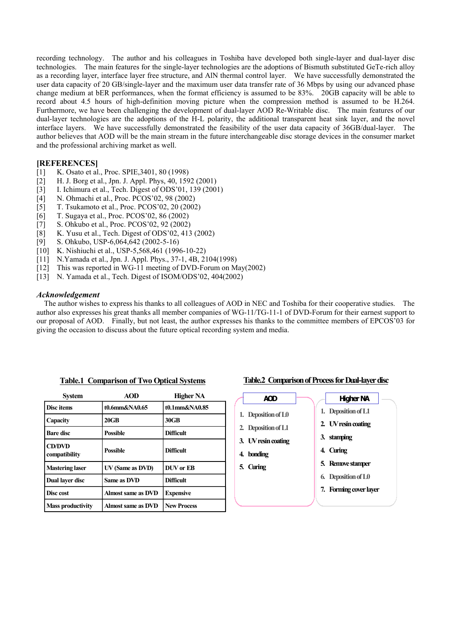recording technology. The author and his colleagues in Toshiba have developed both single-layer and dual-layer disc technologies. The main features for the single-layer technologies are the adoptions of Bismuth substituted GeTe-rich alloy as a recording layer, interface layer free structure, and AlN thermal control layer. We have successfully demonstrated the user data capacity of 20 GB/single-layer and the maximum user data transfer rate of 36 Mbps by using our advanced phase change medium at bER performances, when the format efficiency is assumed to be 83%. 20GB capacity will be able to record about 4.5 hours of high-definition moving picture when the compression method is assumed to be H.264. Furthermore, we have been challenging the development of dual-layer AOD Re-Writable disc. The main features of our dual-layer technologies are the adoptions of the H-L polarity, the additional transparent heat sink layer, and the novel interface layers. We have successfully demonstrated the feasibility of the user data capacity of 36GB/dual-layer. The author believes that AOD will be the main stream in the future interchangeable disc storage devices in the consumer market and the professional archiving market as well.

# **[REFERENCES]**

- [1] K. Osato et al., Proc. SPIE,3401, 80 (1998)
- [2] H. J. Borg et al., Jpn. J. Appl. Phys, 40, 1592 (2001)
- [3] I. Ichimura et al., Tech. Digest of ODS'01, 139 (2001)
- [4] N. Ohmachi et al., Proc. PCOS'02, 98 (2002)
- [5] T. Tsukamoto et al., Proc. PCOS'02, 20 (2002)
- [6] T. Sugaya et al., Proc. PCOS'02, 86 (2002)
- [7] S. Ohkubo et al., Proc. PCOS'02, 92 (2002)
- [8] K. Yusu et al., Tech. Digest of ODS'02, 413 (2002)
- [9] S. Ohkubo, USP-6,064,642 (2002-5-16)
- [10] K. Nishiuchi et al., USP-5,568,461 (1996-10-22)
- [11] N.Yamada et al., Jpn. J. Appl. Phys., 37-1, 4B, 2104(1998)
- [12] This was reported in WG-11 meeting of DVD-Forum on May(2002)
- [13] N. Yamada et al., Tech. Digest of ISOM/ODS'02, 404(2002)

#### *Acknowledgement*

The author wishes to express his thanks to all colleagues of AOD in NEC and Toshiba for their cooperative studies. The author also expresses his great thanks all member companies of WG-11/TG-11-1 of DVD-Forum for their earnest support to our proposal of AOD. Finally, but not least, the author expresses his thanks to the committee members of EPCOS'03 for giving the occasion to discuss about the future optical recording system and media.

| System                         | <b>AOD</b>                | <b>Higher NA</b>   |
|--------------------------------|---------------------------|--------------------|
| <b>Disc</b> items              | t0.6mm&NA0.65             | t0.1mm&NA0.85      |
| Capacity                       | $20$ GB                   | 30GB               |
| <b>Bare disc</b>               | <b>Possible</b>           | <b>Difficult</b>   |
| <b>CD/DVD</b><br>compatibility | <b>Possible</b>           | <b>Difficult</b>   |
| <b>Mastering laser</b>         | UV (Same as DVD)          | <b>DUV</b> or EB   |
| Dual layer disc                | Same as DVD               | <b>Difficult</b>   |
| Disc cost                      | <b>Almost same as DVD</b> | <b>Expensive</b>   |
| <b>Mass productivity</b>       | Almost same as DVD        | <b>New Process</b> |

#### **Table.1 Comparison of Two Optical Systems**

# **Table.2 Comparison of Process for Dual-layer disc**

**AOD 1. Deposition ofL0 2. Deposition ofL1 3. UV resin coating 4. bonding 5. Curing** 1. **Deposition of L1 2. UV resin coating 3. stamping 4. Curing 5. Remove stamper 6. Deposition ofL0 7. Forming coverlayer Higher NA**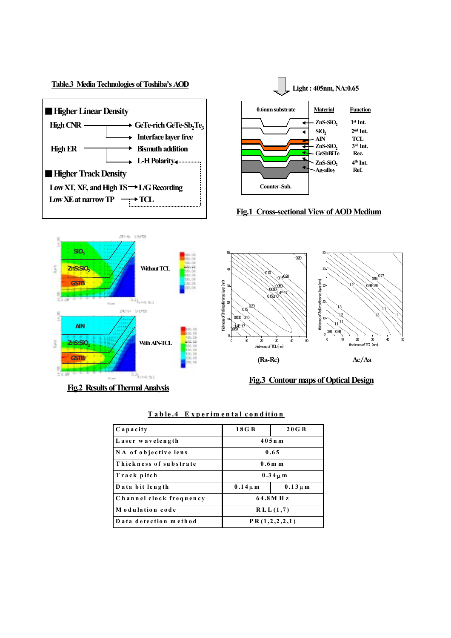

| Capacity                | 18 G B                       | 20 G B |  |
|-------------------------|------------------------------|--------|--|
| Laser wavelength        | $405n$ m                     |        |  |
| NA of objective lens    | 0.65                         |        |  |
| Thickness of substrate  | $0.6m$ m                     |        |  |
| Track pitch             | $0.34 \mu m$                 |        |  |
| Data bit length         | $0.14 \mu m$<br>$0.13 \mu m$ |        |  |
| Channel clock frequency | 64.8MHz                      |        |  |
| Modulation code         | RLL(1,7)                     |        |  |
| Data detection method   | PR(1,2,2,2,1)                |        |  |

## **T a b le .4 E x p e r im e n t a l c o nditio n**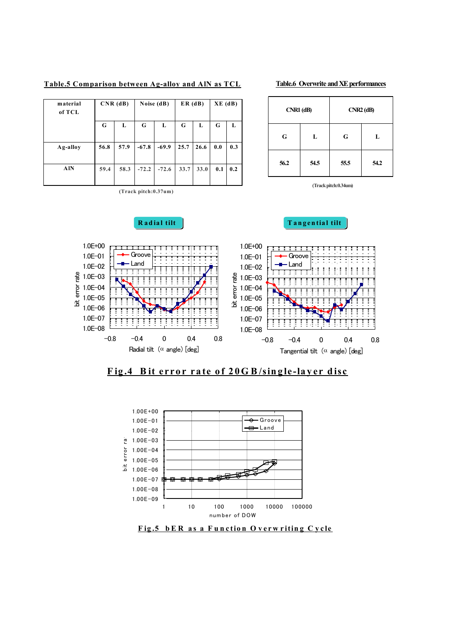| Table.5 Comparison between Ag-alloy and AlN as TCL |  |  |  |
|----------------------------------------------------|--|--|--|
|                                                    |  |  |  |

| <b>Table.6 Overwrite and XE performances</b> |  |
|----------------------------------------------|--|
|                                              |  |

**CNR1 (dB)**

**55.5**

**56.2 54.5 54.2**

**(Track pitch:0.34um)**

**G L L**

**G**

**CNR2 (dB)**

| material<br>of TCL | $CNR$ (dB) |      | Noise $(dB)$ |         | ER(dB) |      | $XE$ (dB) |     |
|--------------------|------------|------|--------------|---------|--------|------|-----------|-----|
|                    | G          | L    | G            | L       | G      | L    | G         | L   |
| Ag-alloy           | 56.8       | 57.9 | $-67.8$      | $-69.9$ | 25.7   | 26.6 | 0.0       | 0.3 |
| <b>AIN</b>         | 59.4       | 58.3 | $-72.2$      | $-72.6$ | 33.7   | 33.0 | 0.1       | 0.2 |

**(Track pitch:0.37um)**

# **Radial tilt ilt ilt ilt ilt ilt ilt ilt ilt ilt ilt ilt ilt ilt ilt ilt ilt ilt ilt ilt ilt ilt ilt ilt ilt ilt ilt ilt ilt ilt ilt ilt ilt ilt ilt ilt**



**F ig .4 B it e r r o r r a te o f 20G B /sin g le -la y e r d is c**